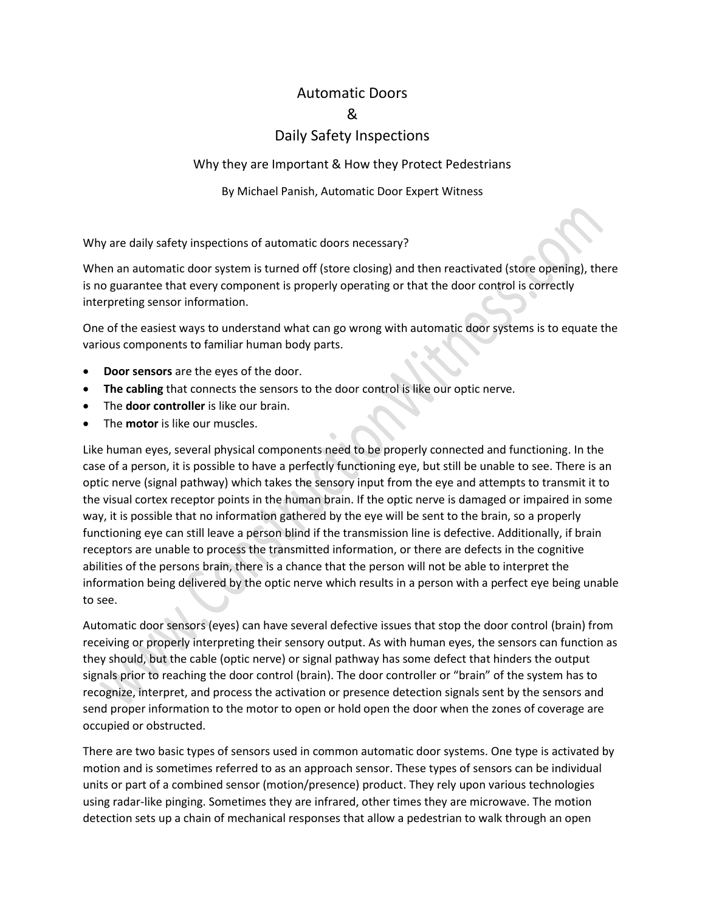## Automatic Doors & Daily Safety Inspections

## Why they are Important & How they Protect Pedestrians

## By Michael Panish, Automatic Door Expert Witness

Why are daily safety inspections of automatic doors necessary?

When an automatic door system is turned off (store closing) and then reactivated (store opening), there is no guarantee that every component is properly operating or that the door control is correctly interpreting sensor information.

One of the easiest ways to understand what can go wrong with automatic door systems is to equate the various components to familiar human body parts.

- **Door sensors** are the eyes of the door.
- **The cabling** that connects the sensors to the door control is like our optic nerve.
- The **door controller** is like our brain.
- The **motor** is like our muscles.

Like human eyes, several physical components need to be properly connected and functioning. In the case of a person, it is possible to have a perfectly functioning eye, but still be unable to see. There is an optic nerve (signal pathway) which takes the sensory input from the eye and attempts to transmit it to the visual cortex receptor points in the human brain. If the optic nerve is damaged or impaired in some way, it is possible that no information gathered by the eye will be sent to the brain, so a properly functioning eye can still leave a person blind if the transmission line is defective. Additionally, if brain receptors are unable to process the transmitted information, or there are defects in the cognitive abilities of the persons brain, there is a chance that the person will not be able to interpret the information being delivered by the optic nerve which results in a person with a perfect eye being unable to see.

Automatic door sensors (eyes) can have several defective issues that stop the door control (brain) from receiving or properly interpreting their sensory output. As with human eyes, the sensors can function as they should, but the cable (optic nerve) or signal pathway has some defect that hinders the output signals prior to reaching the door control (brain). The door controller or "brain" of the system has to recognize, interpret, and process the activation or presence detection signals sent by the sensors and send proper information to the motor to open or hold open the door when the zones of coverage are occupied or obstructed.

There are two basic types of sensors used in common automatic door systems. One type is activated by motion and is sometimes referred to as an approach sensor. These types of sensors can be individual units or part of a combined sensor (motion/presence) product. They rely upon various technologies using radar-like pinging. Sometimes they are infrared, other times they are microwave. The motion detection sets up a chain of mechanical responses that allow a pedestrian to walk through an open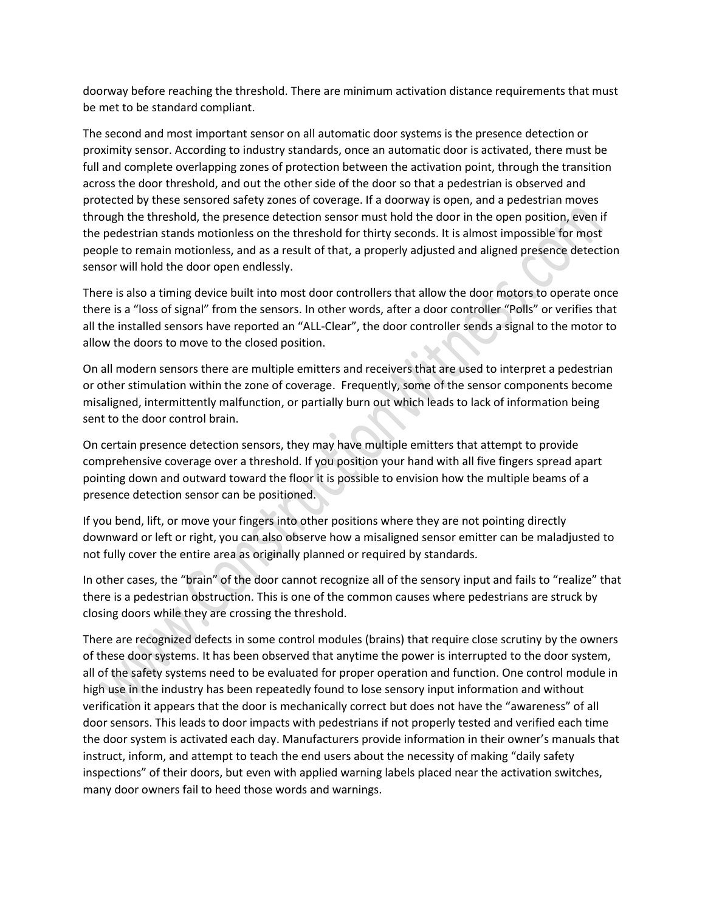doorway before reaching the threshold. There are minimum activation distance requirements that must be met to be standard compliant.

The second and most important sensor on all automatic door systems is the presence detection or proximity sensor. According to industry standards, once an automatic door is activated, there must be full and complete overlapping zones of protection between the activation point, through the transition across the door threshold, and out the other side of the door so that a pedestrian is observed and protected by these sensored safety zones of coverage. If a doorway is open, and a pedestrian moves through the threshold, the presence detection sensor must hold the door in the open position, even if the pedestrian stands motionless on the threshold for thirty seconds. It is almost impossible for most people to remain motionless, and as a result of that, a properly adjusted and aligned presence detection sensor will hold the door open endlessly.

There is also a timing device built into most door controllers that allow the door motors to operate once there is a "loss of signal" from the sensors. In other words, after a door controller "Polls" or verifies that all the installed sensors have reported an "ALL-Clear", the door controller sends a signal to the motor to allow the doors to move to the closed position.

 $\mathcal{L}_{\mathcal{N}}$ 

On all modern sensors there are multiple emitters and receivers that are used to interpret a pedestrian or other stimulation within the zone of coverage. Frequently, some of the sensor components become misaligned, intermittently malfunction, or partially burn out which leads to lack of information being sent to the door control brain.

On certain presence detection sensors, they may have multiple emitters that attempt to provide comprehensive coverage over a threshold. If you position your hand with all five fingers spread apart pointing down and outward toward the floor it is possible to envision how the multiple beams of a presence detection sensor can be positioned.

If you bend, lift, or move your fingers into other positions where they are not pointing directly downward or left or right, you can also observe how a misaligned sensor emitter can be maladjusted to not fully cover the entire area as originally planned or required by standards.

In other cases, the "brain" of the door cannot recognize all of the sensory input and fails to "realize" that there is a pedestrian obstruction. This is one of the common causes where pedestrians are struck by closing doors while they are crossing the threshold.

There are recognized defects in some control modules (brains) that require close scrutiny by the owners of these door systems. It has been observed that anytime the power is interrupted to the door system, all of the safety systems need to be evaluated for proper operation and function. One control module in high use in the industry has been repeatedly found to lose sensory input information and without verification it appears that the door is mechanically correct but does not have the "awareness" of all door sensors. This leads to door impacts with pedestrians if not properly tested and verified each time the door system is activated each day. Manufacturers provide information in their owner's manuals that instruct, inform, and attempt to teach the end users about the necessity of making "daily safety inspections" of their doors, but even with applied warning labels placed near the activation switches, many door owners fail to heed those words and warnings.